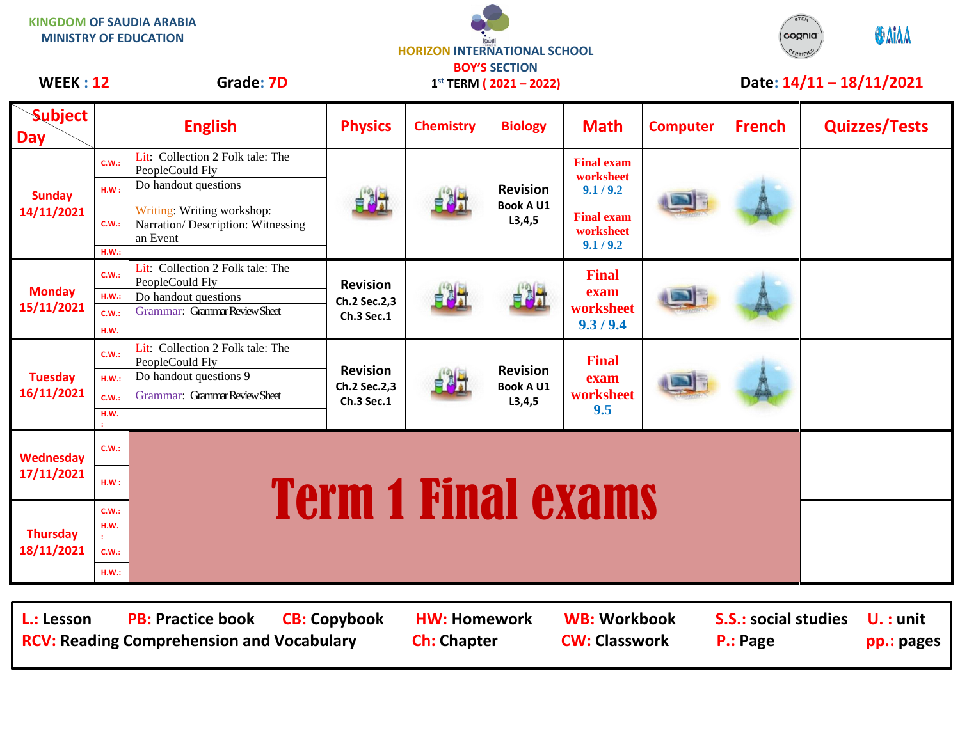|                               |                                | <b>KINGDOM OF SAUDIA ARABIA</b><br><b>MINISTRY OF EDUCATION</b>                                                | <b>HORIZON INTERNATIONAL SCHOOL</b><br><b>BOY'S SECTION</b> |                  |                                                 |                                                |                            | CERTIFIED     | <b>GAIAA</b><br>cognia |
|-------------------------------|--------------------------------|----------------------------------------------------------------------------------------------------------------|-------------------------------------------------------------|------------------|-------------------------------------------------|------------------------------------------------|----------------------------|---------------|------------------------|
| <b>WEEK: 12</b>               |                                | Grade: 7D                                                                                                      | $1^{st}$ TERM (2021 - 2022)                                 |                  |                                                 |                                                | Date: $14/11 - 18/11/2021$ |               |                        |
| <b>Subject</b><br><b>Day</b>  |                                | <b>English</b>                                                                                                 | <b>Physics</b>                                              | <b>Chemistry</b> | <b>Biology</b>                                  | <b>Math</b>                                    | <b>Computer</b>            | <b>French</b> | <b>Quizzes/Tests</b>   |
| <b>Sunday</b><br>14/11/2021   | C.W.:<br>HM:                   | Lit: Collection 2 Folk tale: The<br>PeopleCould Fly<br>Do handout questions                                    |                                                             |                  | <b>Revision</b><br><b>Book A U1</b><br>L3, 4, 5 | <b>Final exam</b><br>worksheet<br>9.1 / 9.2    |                            |               |                        |
|                               | C.W.:<br>H.W.:                 | Writing: Writing workshop:<br>Narration/Description: Witnessing<br>an Event                                    |                                                             |                  |                                                 | <b>Final exam</b><br>worksheet<br>9.1 / 9.2    |                            |               |                        |
| <b>Monday</b><br>15/11/2021   | C.W.:<br>HM.:<br>C.W.:<br>H.W. | Lit: Collection 2 Folk tale: The<br>PeopleCould Fly<br>Do handout questions<br>Grammar: Grammar Review Sheet   | <b>Revision</b><br>Ch.2 Sec.2,3<br>Ch.3 Sec.1               | 自思式              |                                                 | <b>Final</b><br>exam<br>worksheet<br>9.3 / 9.4 |                            |               |                        |
| <b>Tuesday</b><br>16/11/2021  | C.W.:<br>HM.:<br>C.W.:<br>H.W. | Lit: Collection 2 Folk tale: The<br>PeopleCould Fly<br>Do handout questions 9<br>Grammar: Grammar Review Sheet | <b>Revision</b><br>Ch.2 Sec.2,3<br>Ch.3 Sec.1               |                  | <b>Revision</b><br><b>Book A U1</b><br>L3, 4, 5 | <b>Final</b><br>exam<br>worksheet<br>9.5       |                            |               |                        |
| Wednesday<br>17/11/2021       | C.W.:<br>HM:                   | <b>Term 1 Final exams</b>                                                                                      |                                                             |                  |                                                 |                                                |                            |               |                        |
| <b>Thursday</b><br>18/11/2021 | C.W.:<br>H.W.<br>C.W.:         |                                                                                                                |                                                             |                  |                                                 |                                                |                            |               |                        |
|                               | HM.:                           |                                                                                                                |                                                             |                  |                                                 |                                                |                            |               |                        |

L.: Lesson PB: Practice book CB: Copybook HW: Homework WB: Workbook S.S.: social studies U. : unit **RCV: Reading Comprehension and Vocabulary and Ch: Chapter CW: Classwork P.: Page pp.: pages**